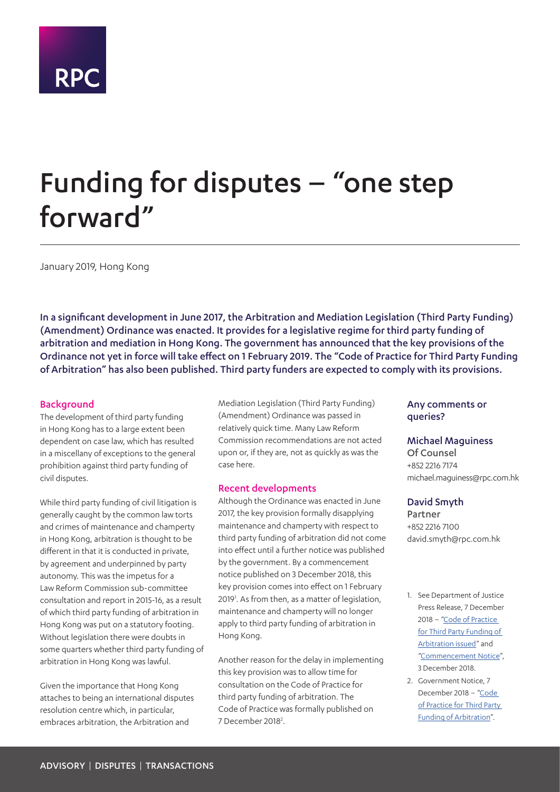

# Funding for disputes – "one step forward"

January 2019, Hong Kong

In a significant development in June 2017, the Arbitration and Mediation Legislation (Third Party Funding) (Amendment) Ordinance was enacted. It provides for a legislative regime for third party funding of arbitration and mediation in Hong Kong. The government has announced that the key provisions of the Ordinance not yet in force will take effect on 1 February 2019. The "Code of Practice for Third Party Funding of Arbitration" has also been published. Third party funders are expected to comply with its provisions.

#### **Background**

The development of third party funding in Hong Kong has to a large extent been dependent on case law, which has resulted in a miscellany of exceptions to the general prohibition against third party funding of civil disputes.

While third party funding of civil litigation is generally caught by the common law torts and crimes of maintenance and champerty in Hong Kong, arbitration is thought to be different in that it is conducted in private, by agreement and underpinned by party autonomy. This was the impetus for a Law Reform Commission sub-committee consultation and report in 2015-16, as a result of which third party funding of arbitration in Hong Kong was put on a statutory footing. Without legislation there were doubts in some quarters whether third party funding of arbitration in Hong Kong was lawful.

Given the importance that Hong Kong attaches to being an international disputes resolution centre which, in particular, embraces arbitration, the Arbitration and

Mediation Legislation (Third Party Funding) (Amendment) Ordinance was passed in relatively quick time. Many Law Reform Commission recommendations are not acted upon or, if they are, not as quickly as was the case here.

#### Recent developments

Although the Ordinance was enacted in June 2017, the key provision formally disapplying maintenance and champerty with respect to third party funding of arbitration did not come into effect until a further notice was published by the government. By a commencement notice published on 3 December 2018, this key provision comes into effect on 1 February 2019<sup>1</sup>. As from then, as a matter of legislation, maintenance and champerty will no longer apply to third party funding of arbitration in Hong Kong.

Another reason for the delay in implementing this key provision was to allow time for consultation on the Code of Practice for third party funding of arbitration. The Code of Practice was formally published on 7 December 2018<sup>2</sup>.

#### Any comments or queries?

#### Michael Maguiness

Of Counsel +852 2216 7174 michael.maguiness@rpc.com.hk

#### David Smyth

Partner +852 2216 7100 david.smyth@rpc.com.hk

- <span id="page-0-0"></span>1. See Department of Justice Press Release, 7 December 2018 - "Code of Practice [for Third Party Funding of](http://See Department of Justice Press Release, 7 December 2018 – "Code of Practice for Third Party Funding of Arbitration issued" and "Commencement Notice", 3 December 2018.)  [Arbitration issued](http://See Department of Justice Press Release, 7 December 2018 – "Code of Practice for Third Party Funding of Arbitration issued" and "Commencement Notice", 3 December 2018.)" and ["Commencement Notice"](https://www.gld.gov.hk/egazette/pdf/20182249/es220182249260.pdf), 3 December 2018.
- <span id="page-0-1"></span>2. Government Notice, 7 December 2018 – ["Code](http://gia.info.gov.hk/general/201812/07/P2018120700601_299064_1_1544169372716.pdf)  [of Practice for Third Party](http://gia.info.gov.hk/general/201812/07/P2018120700601_299064_1_1544169372716.pdf)  [Funding of Arbitration](http://gia.info.gov.hk/general/201812/07/P2018120700601_299064_1_1544169372716.pdf)".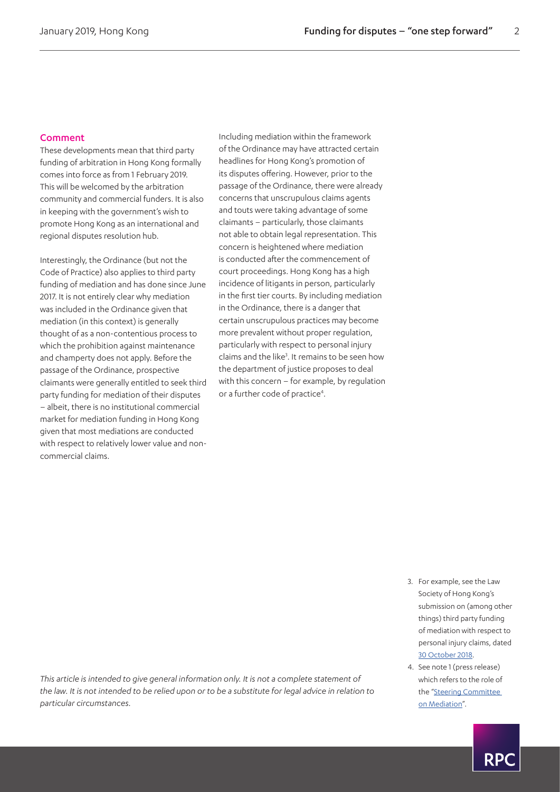#### Comment

These developments mean that third party funding of arbitration in Hong Kong formally comes into force as from 1 February 2019. This will be welcomed by the arbitration community and commercial funders. It is also in keeping with the government's wish to promote Hong Kong as an international and regional disputes resolution hub.

Interestingly, the Ordinance (but not the Code of Practice) also applies to third party funding of mediation and has done since June 2017. It is not entirely clear why mediation was included in the Ordinance given that mediation (in this context) is generally thought of as a non-contentious process to which the prohibition against maintenance and champerty does not apply. Before the passage of the Ordinance, prospective claimants were generally entitled to seek third party funding for mediation of their disputes – albeit, there is no institutional commercial market for mediation funding in Hong Kong given that most mediations are conducted with respect to relatively lower value and noncommercial claims.

Including mediation within the framework of the Ordinance may have attracted certain headlines for Hong Kong's promotion of its disputes offering. However, prior to the passage of the Ordinance, there were already concerns that unscrupulous claims agents and touts were taking advantage of some claimants – particularly, those claimants not able to obtain legal representation. This concern is heightened where mediation is conducted after the commencement of court proceedings. Hong Kong has a high incidence of litigants in person, particularly in the first tier courts. By including mediation in the Ordinance, there is a danger that certain unscrupulous practices may become more prevalent without proper regulation, particularly with respect to personal injury claims and the like<sup>3</sup>. It remains to be seen how the department of justice proposes to deal with this concern – for example, by regulation or a further code of practice<sup>4</sup>.

- <span id="page-1-0"></span>3. For example, see the Law Society of Hong Kong's submission on (among other things) third party funding of mediation with respect to personal injury claims, dated [30 October 2018](http://For example, see the Law Society of Hong Kong).
- <span id="page-1-1"></span>4. See note 1 (press release) which refers to the role of the "[Steering Committee](https://www.doj.gov.hk/eng/public/mediationCommittee.html)  [on Mediation](https://www.doj.gov.hk/eng/public/mediationCommittee.html)".

*This article is intended to give general information only. It is not a complete statement of the law. It is not intended to be relied upon or to be a substitute for legal advice in relation to particular circumstances.*